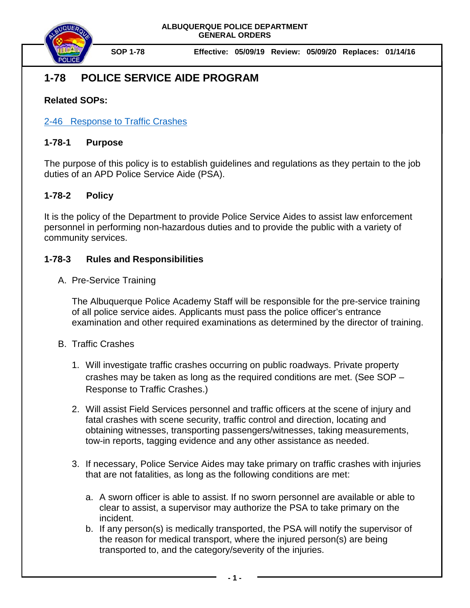

**SOP 1-78 Effective: 05/09/19 Review: 05/09/20 Replaces: 01/14/16**

# **1-78 POLICE SERVICE AIDE PROGRAM**

# **Related SOPs:**

## [2-46 Response to](file://coa.cabq.lcl/dfsroot/APD/SHARE/PD-QA%20Audit/APD%20SOPs/Draft%20SOPs/Policies%20to%20Publish/2-46_Response%20to%20Traffic%20Crashes_Pending%20Chief) Traffic Crashes

### **1-78-1 Purpose**

The purpose of this policy is to establish guidelines and regulations as they pertain to the job duties of an APD Police Service Aide (PSA).

### **1-78-2 Policy**

It is the policy of the Department to provide Police Service Aides to assist law enforcement personnel in performing non-hazardous duties and to provide the public with a variety of community services.

### **1-78-3 Rules and Responsibilities**

A. Pre-Service Training

The Albuquerque Police Academy Staff will be responsible for the pre-service training of all police service aides. Applicants must pass the police officer's entrance examination and other required examinations as determined by the director of training.

- B. Traffic Crashes
	- 1. Will investigate traffic crashes occurring on public roadways. Private property crashes may be taken as long as the required conditions are met. (See SOP – Response to Traffic Crashes.)
	- 2. Will assist Field Services personnel and traffic officers at the scene of injury and fatal crashes with scene security, traffic control and direction, locating and obtaining witnesses, transporting passengers/witnesses, taking measurements, tow-in reports, tagging evidence and any other assistance as needed.
	- 3. If necessary, Police Service Aides may take primary on traffic crashes with injuries that are not fatalities, as long as the following conditions are met:
		- a. A sworn officer is able to assist. If no sworn personnel are available or able to clear to assist, a supervisor may authorize the PSA to take primary on the incident.
		- b. If any person(s) is medically transported, the PSA will notify the supervisor of the reason for medical transport, where the injured person(s) are being transported to, and the category/severity of the injuries.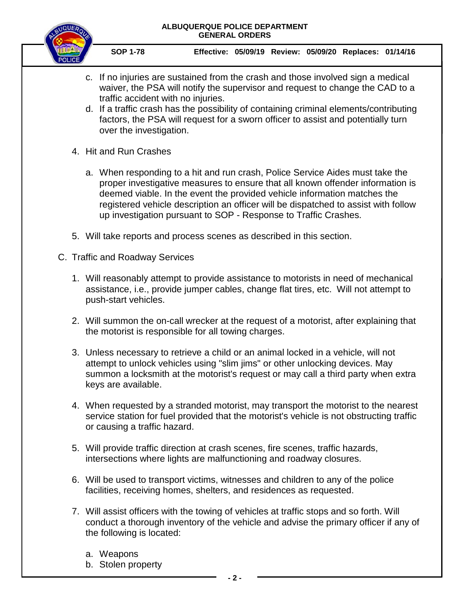

- c. If no injuries are sustained from the crash and those involved sign a medical waiver, the PSA will notify the supervisor and request to change the CAD to a traffic accident with no injuries.
- d. If a traffic crash has the possibility of containing criminal elements/contributing factors, the PSA will request for a sworn officer to assist and potentially turn over the investigation.
- 4. Hit and Run Crashes
	- a. When responding to a hit and run crash, Police Service Aides must take the proper investigative measures to ensure that all known offender information is deemed viable. In the event the provided vehicle information matches the registered vehicle description an officer will be dispatched to assist with follow up investigation pursuant to SOP - Response to Traffic Crashes.
- 5. Will take reports and process scenes as described in this section.
- C. Traffic and Roadway Services
	- 1. Will reasonably attempt to provide assistance to motorists in need of mechanical assistance, i.e., provide jumper cables, change flat tires, etc. Will not attempt to push-start vehicles.
	- 2. Will summon the on-call wrecker at the request of a motorist, after explaining that the motorist is responsible for all towing charges.
	- 3. Unless necessary to retrieve a child or an animal locked in a vehicle, will not attempt to unlock vehicles using "slim jims" or other unlocking devices. May summon a locksmith at the motorist's request or may call a third party when extra keys are available.
	- 4. When requested by a stranded motorist, may transport the motorist to the nearest service station for fuel provided that the motorist's vehicle is not obstructing traffic or causing a traffic hazard.
	- 5. Will provide traffic direction at crash scenes, fire scenes, traffic hazards, intersections where lights are malfunctioning and roadway closures.
	- 6. Will be used to transport victims, witnesses and children to any of the police facilities, receiving homes, shelters, and residences as requested.
	- 7. Will assist officers with the towing of vehicles at traffic stops and so forth. Will conduct a thorough inventory of the vehicle and advise the primary officer if any of the following is located:
		- a. Weapons
		- b. Stolen property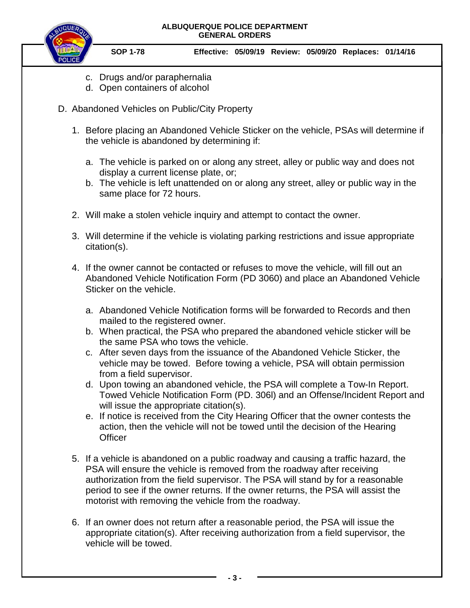

- c. Drugs and/or paraphernalia
- d. Open containers of alcohol
- D. Abandoned Vehicles on Public/City Property
	- 1. Before placing an Abandoned Vehicle Sticker on the vehicle, PSAs will determine if the vehicle is abandoned by determining if:
		- a. The vehicle is parked on or along any street, alley or public way and does not display a current license plate, or;
		- b. The vehicle is left unattended on or along any street, alley or public way in the same place for 72 hours.
	- 2. Will make a stolen vehicle inquiry and attempt to contact the owner.
	- 3. Will determine if the vehicle is violating parking restrictions and issue appropriate citation(s).
	- 4. If the owner cannot be contacted or refuses to move the vehicle, will fill out an Abandoned Vehicle Notification Form (PD 3060) and place an Abandoned Vehicle Sticker on the vehicle.
		- a. Abandoned Vehicle Notification forms will be forwarded to Records and then mailed to the registered owner.
		- b. When practical, the PSA who prepared the abandoned vehicle sticker will be the same PSA who tows the vehicle.
		- c. After seven days from the issuance of the Abandoned Vehicle Sticker, the vehicle may be towed. Before towing a vehicle, PSA will obtain permission from a field supervisor.
		- d. Upon towing an abandoned vehicle, the PSA will complete a Tow-In Report. Towed Vehicle Notification Form (PD. 306l) and an Offense/Incident Report and will issue the appropriate citation(s).
		- e. If notice is received from the City Hearing Officer that the owner contests the action, then the vehicle will not be towed until the decision of the Hearing **Officer**
	- 5. If a vehicle is abandoned on a public roadway and causing a traffic hazard, the PSA will ensure the vehicle is removed from the roadway after receiving authorization from the field supervisor. The PSA will stand by for a reasonable period to see if the owner returns. If the owner returns, the PSA will assist the motorist with removing the vehicle from the roadway.
	- 6. If an owner does not return after a reasonable period, the PSA will issue the appropriate citation(s). After receiving authorization from a field supervisor, the vehicle will be towed.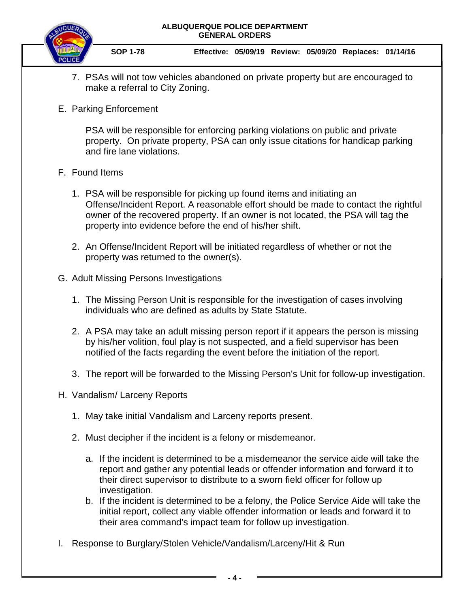

**SOP 1-78 Effective: 05/09/19 Review: 05/09/20 Replaces: 01/14/16**

- 7. PSAs will not tow vehicles abandoned on private property but are encouraged to make a referral to City Zoning.
- E. Parking Enforcement

PSA will be responsible for enforcing parking violations on public and private property. On private property, PSA can only issue citations for handicap parking and fire lane violations.

- F. Found Items
	- 1. PSA will be responsible for picking up found items and initiating an Offense/Incident Report. A reasonable effort should be made to contact the rightful owner of the recovered property. If an owner is not located, the PSA will tag the property into evidence before the end of his/her shift.
	- 2. An Offense/Incident Report will be initiated regardless of whether or not the property was returned to the owner(s).
- G. Adult Missing Persons Investigations
	- 1. The Missing Person Unit is responsible for the investigation of cases involving individuals who are defined as adults by State Statute.
	- 2. A PSA may take an adult missing person report if it appears the person is missing by his/her volition, foul play is not suspected, and a field supervisor has been notified of the facts regarding the event before the initiation of the report.
	- 3. The report will be forwarded to the Missing Person's Unit for follow-up investigation.
- H. Vandalism/ Larceny Reports
	- 1. May take initial Vandalism and Larceny reports present.
	- 2. Must decipher if the incident is a felony or misdemeanor.
		- a. If the incident is determined to be a misdemeanor the service aide will take the report and gather any potential leads or offender information and forward it to their direct supervisor to distribute to a sworn field officer for follow up investigation.
		- b. If the incident is determined to be a felony, the Police Service Aide will take the initial report, collect any viable offender information or leads and forward it to their area command's impact team for follow up investigation.
- I. Response to Burglary/Stolen Vehicle/Vandalism/Larceny/Hit & Run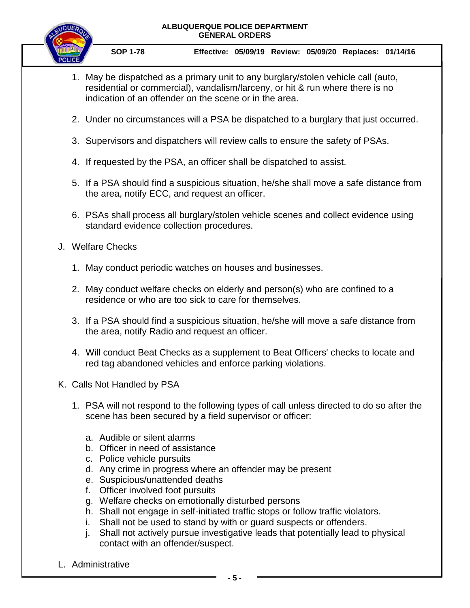

- 1. May be dispatched as a primary unit to any burglary/stolen vehicle call (auto, residential or commercial), vandalism/larceny, or hit & run where there is no indication of an offender on the scene or in the area.
- 2. Under no circumstances will a PSA be dispatched to a burglary that just occurred.
- 3. Supervisors and dispatchers will review calls to ensure the safety of PSAs.
- 4. If requested by the PSA, an officer shall be dispatched to assist.
- 5. If a PSA should find a suspicious situation, he/she shall move a safe distance from the area, notify ECC, and request an officer.
- 6. PSAs shall process all burglary/stolen vehicle scenes and collect evidence using standard evidence collection procedures.
- J. Welfare Checks
	- 1. May conduct periodic watches on houses and businesses.
	- 2. May conduct welfare checks on elderly and person(s) who are confined to a residence or who are too sick to care for themselves.
	- 3. If a PSA should find a suspicious situation, he/she will move a safe distance from the area, notify Radio and request an officer.
	- 4. Will conduct Beat Checks as a supplement to Beat Officers' checks to locate and red tag abandoned vehicles and enforce parking violations.
- K. Calls Not Handled by PSA
	- 1. PSA will not respond to the following types of call unless directed to do so after the scene has been secured by a field supervisor or officer:
		- a. Audible or silent alarms
		- b. Officer in need of assistance
		- c. Police vehicle pursuits
		- d. Any crime in progress where an offender may be present
		- e. Suspicious/unattended deaths
		- f. Officer involved foot pursuits
		- g. Welfare checks on emotionally disturbed persons
		- h. Shall not engage in self-initiated traffic stops or follow traffic violators.
		- i. Shall not be used to stand by with or guard suspects or offenders.
		- j. Shall not actively pursue investigative leads that potentially lead to physical contact with an offender/suspect.
- L. Administrative